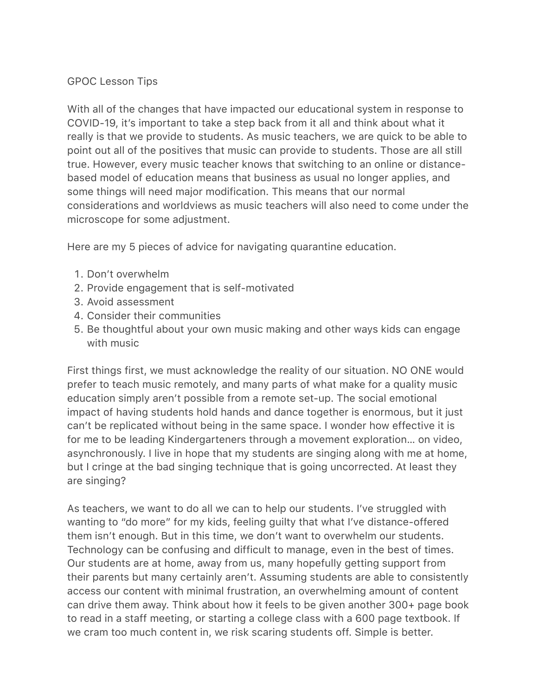## GPOC Lesson Tips

With all of the changes that have impacted our educational system in response to COVID-19, it's important to take a step back from it all and think about what it really is that we provide to students. As music teachers, we are quick to be able to point out all of the positives that music can provide to students. Those are all still true. However, every music teacher knows that switching to an online or distancebased model of education means that business as usual no longer applies, and some things will need major modification. This means that our normal considerations and worldviews as music teachers will also need to come under the microscope for some adjustment.

Here are my 5 pieces of advice for navigating quarantine education.

- 1. Don't overwhelm
- 2. Provide engagement that is self-motivated
- 3. Avoid assessment
- 4. Consider their communities
- 5. Be thoughtful about your own music making and other ways kids can engage with music

First things first, we must acknowledge the reality of our situation. NO ONE would prefer to teach music remotely, and many parts of what make for a quality music education simply aren't possible from a remote set-up. The social emotional impact of having students hold hands and dance together is enormous, but it just can't be replicated without being in the same space. I wonder how effective it is for me to be leading Kindergarteners through a movement exploration… on video, asynchronously. I live in hope that my students are singing along with me at home, but I cringe at the bad singing technique that is going uncorrected. At least they are singing?

As teachers, we want to do all we can to help our students. I've struggled with wanting to "do more" for my kids, feeling guilty that what I've distance-offered them isn't enough. But in this time, we don't want to overwhelm our students. Technology can be confusing and difficult to manage, even in the best of times. Our students are at home, away from us, many hopefully getting support from their parents but many certainly aren't. Assuming students are able to consistently access our content with minimal frustration, an overwhelming amount of content can drive them away. Think about how it feels to be given another 300+ page book to read in a staff meeting, or starting a college class with a 600 page textbook. If we cram too much content in, we risk scaring students off. Simple is better.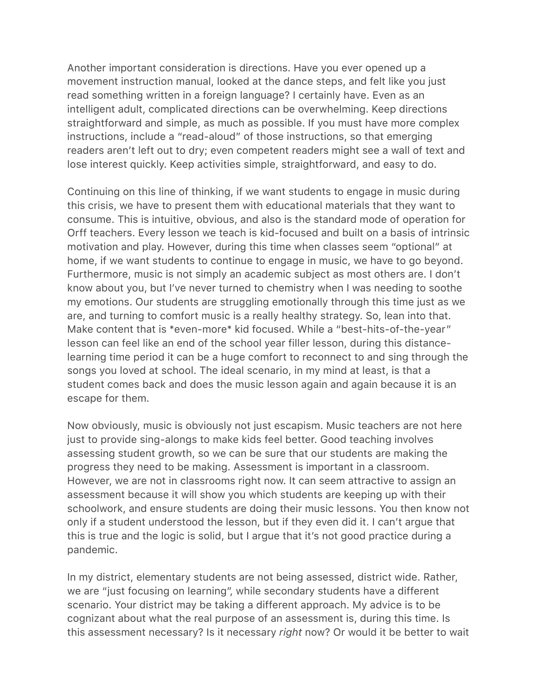Another important consideration is directions. Have you ever opened up a movement instruction manual, looked at the dance steps, and felt like you just read something written in a foreign language? I certainly have. Even as an intelligent adult, complicated directions can be overwhelming. Keep directions straightforward and simple, as much as possible. If you must have more complex instructions, include a "read-aloud" of those instructions, so that emerging readers aren't left out to dry; even competent readers might see a wall of text and lose interest quickly. Keep activities simple, straightforward, and easy to do.

Continuing on this line of thinking, if we want students to engage in music during this crisis, we have to present them with educational materials that they want to consume. This is intuitive, obvious, and also is the standard mode of operation for Orff teachers. Every lesson we teach is kid-focused and built on a basis of intrinsic motivation and play. However, during this time when classes seem "optional" at home, if we want students to continue to engage in music, we have to go beyond. Furthermore, music is not simply an academic subject as most others are. I don't know about you, but I've never turned to chemistry when I was needing to soothe my emotions. Our students are struggling emotionally through this time just as we are, and turning to comfort music is a really healthy strategy. So, lean into that. Make content that is \*even-more\* kid focused. While a "best-hits-of-the-year" lesson can feel like an end of the school year filler lesson, during this distancelearning time period it can be a huge comfort to reconnect to and sing through the songs you loved at school. The ideal scenario, in my mind at least, is that a student comes back and does the music lesson again and again because it is an escape for them.

Now obviously, music is obviously not just escapism. Music teachers are not here just to provide sing-alongs to make kids feel better. Good teaching involves assessing student growth, so we can be sure that our students are making the progress they need to be making. Assessment is important in a classroom. However, we are not in classrooms right now. It can seem attractive to assign an assessment because it will show you which students are keeping up with their schoolwork, and ensure students are doing their music lessons. You then know not only if a student understood the lesson, but if they even did it. I can't argue that this is true and the logic is solid, but I argue that it's not good practice during a pandemic.

In my district, elementary students are not being assessed, district wide. Rather, we are "just focusing on learning", while secondary students have a different scenario. Your district may be taking a different approach. My advice is to be cognizant about what the real purpose of an assessment is, during this time. Is this assessment necessary? Is it necessary *right* now? Or would it be better to wait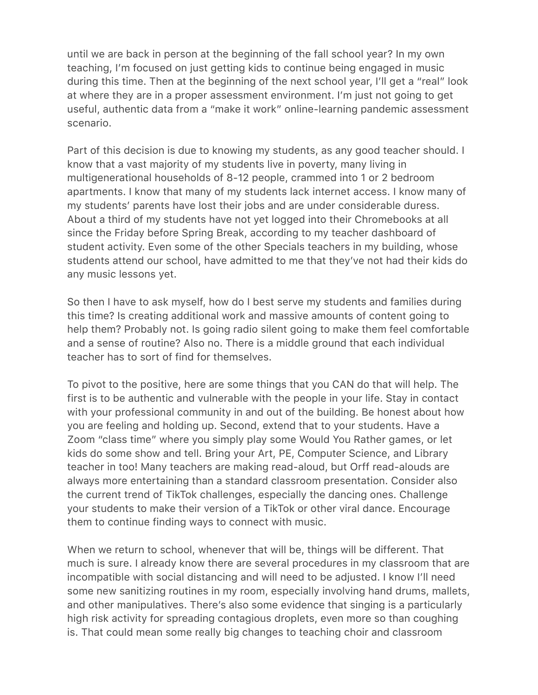until we are back in person at the beginning of the fall school year? In my own teaching, I'm focused on just getting kids to continue being engaged in music during this time. Then at the beginning of the next school year, I'll get a "real" look at where they are in a proper assessment environment. I'm just not going to get useful, authentic data from a "make it work" online-learning pandemic assessment scenario.

Part of this decision is due to knowing my students, as any good teacher should. I know that a vast majority of my students live in poverty, many living in multigenerational households of 8-12 people, crammed into 1 or 2 bedroom apartments. I know that many of my students lack internet access. I know many of my students' parents have lost their jobs and are under considerable duress. About a third of my students have not yet logged into their Chromebooks at all since the Friday before Spring Break, according to my teacher dashboard of student activity. Even some of the other Specials teachers in my building, whose students attend our school, have admitted to me that they've not had their kids do any music lessons yet.

So then I have to ask myself, how do I best serve my students and families during this time? Is creating additional work and massive amounts of content going to help them? Probably not. Is going radio silent going to make them feel comfortable and a sense of routine? Also no. There is a middle ground that each individual teacher has to sort of find for themselves.

To pivot to the positive, here are some things that you CAN do that will help. The first is to be authentic and vulnerable with the people in your life. Stay in contact with your professional community in and out of the building. Be honest about how you are feeling and holding up. Second, extend that to your students. Have a Zoom "class time" where you simply play some Would You Rather games, or let kids do some show and tell. Bring your Art, PE, Computer Science, and Library teacher in too! Many teachers are making read-aloud, but Orff read-alouds are always more entertaining than a standard classroom presentation. Consider also the current trend of TikTok challenges, especially the dancing ones. Challenge your students to make their version of a TikTok or other viral dance. Encourage them to continue finding ways to connect with music.

When we return to school, whenever that will be, things will be different. That much is sure. I already know there are several procedures in my classroom that are incompatible with social distancing and will need to be adjusted. I know I'll need some new sanitizing routines in my room, especially involving hand drums, mallets, and other manipulatives. There's also some evidence that singing is a particularly high risk activity for spreading contagious droplets, even more so than coughing is. That could mean some really big changes to teaching choir and classroom